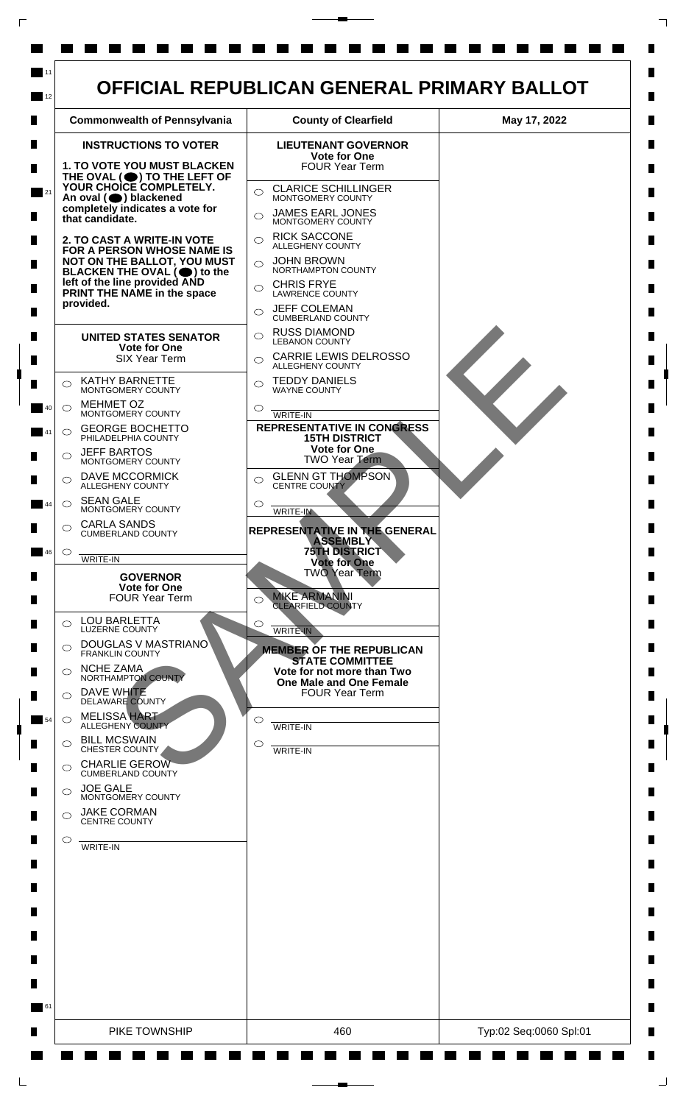

 $\mathsf{L}$ 

 $\Box$